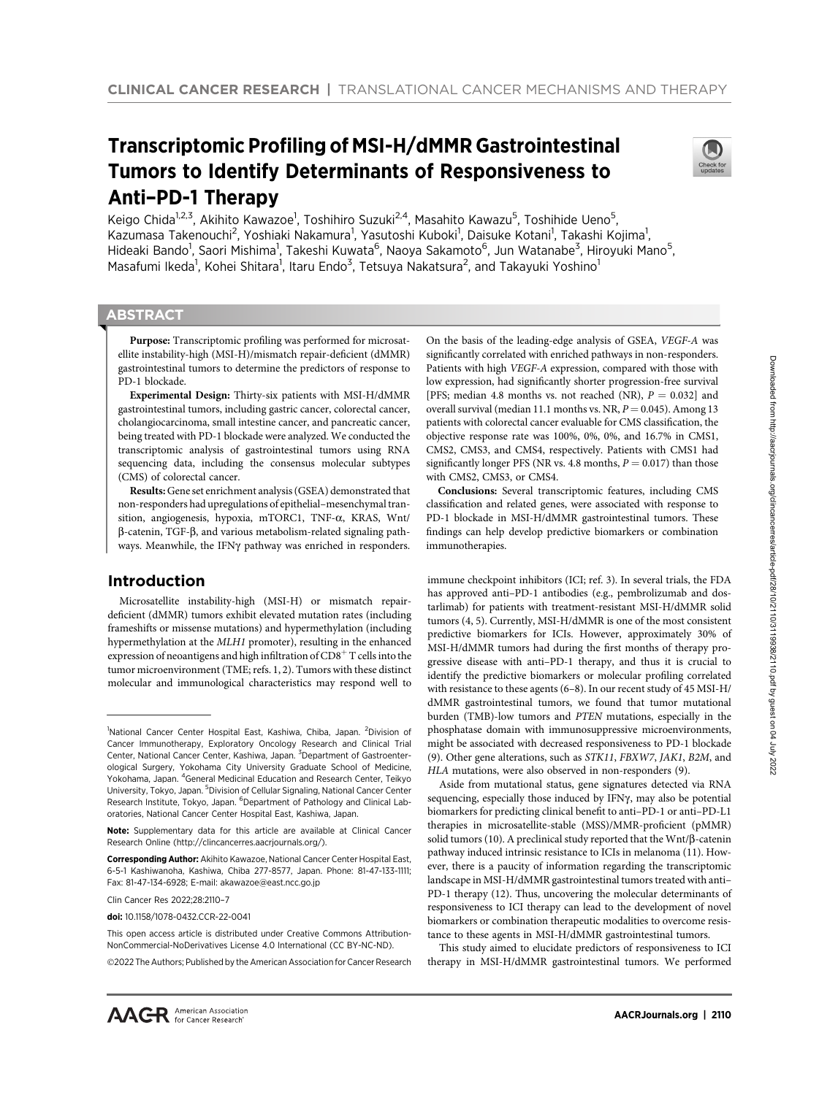# Transcriptomic Profiling of MSI-H/dMMR Gastrointestinal Tumors to Identify Determinants of Responsiveness to Anti–PD-1 Therapy



Keigo Chida<sup>1,2,3</sup>, Akihito Kawazoe<sup>1</sup>, Toshihiro Suzuki<sup>2,4</sup>, Masahito Kawazu<sup>5</sup>, Toshihide Ueno<sup>5</sup>, Kazumasa Takenouchi<sup>2</sup>, Yoshiaki Nakamura<sup>1</sup>, Yasutoshi Kuboki<sup>1</sup>, Daisuke Kotani<sup>1</sup>, Takashi Kojima<sup>1</sup>, Hideaki Bando<sup>1</sup>, Saori Mishima<sup>1</sup>, Takeshi Kuwata<sup>6</sup>, Naoya Sakamoto<sup>6</sup>, Jun Watanabe<sup>3</sup>, Hiroyuki Mano<sup>5</sup>, Masafumi Ikeda<sup>1</sup>, Kohei Shitara<sup>1</sup>, Itaru Endo<sup>3</sup>, Tetsuya Nakatsura<sup>2</sup>, and Takayuki Yoshino<sup>1</sup>

# **ABSTRACT**

◥

Purpose: Transcriptomic profiling was performed for microsatellite instability-high (MSI-H)/mismatch repair-deficient (dMMR) gastrointestinal tumors to determine the predictors of response to PD-1 blockade.

Experimental Design: Thirty-six patients with MSI-H/dMMR gastrointestinal tumors, including gastric cancer, colorectal cancer, cholangiocarcinoma, small intestine cancer, and pancreatic cancer, being treated with PD-1 blockade were analyzed. We conducted the transcriptomic analysis of gastrointestinal tumors using RNA sequencing data, including the consensus molecular subtypes (CMS) of colorectal cancer.

Results: Gene set enrichment analysis (GSEA) demonstrated that non-responders had upregulations of epithelial–mesenchymal transition, angiogenesis, hypoxia, mTORC1, TNF-a, KRAS, Wnt/  $\beta$ -catenin, TGF- $\beta$ , and various metabolism-related signaling pathways. Meanwhile, the IFN $\gamma$  pathway was enriched in responders.

# Introduction

Microsatellite instability-high (MSI-H) or mismatch repairdeficient (dMMR) tumors exhibit elevated mutation rates (including frameshifts or missense mutations) and hypermethylation (including hypermethylation at the MLH1 promoter), resulting in the enhanced expression of neoantigens and high infiltration of  $CD8<sup>+</sup>$  T cells into the tumor microenvironment (TME; refs. 1, 2). Tumors with these distinct molecular and immunological characteristics may respond well to

Clin Cancer Res 2022;28:2110–7

2022 The Authors; Published by the American Association for Cancer Research

On the basis of the leading-edge analysis of GSEA, VEGF-A was significantly correlated with enriched pathways in non-responders. Patients with high VEGF-A expression, compared with those with low expression, had significantly shorter progression-free survival [PFS; median 4.8 months vs. not reached (NR),  $P = 0.032$ ] and overall survival (median 11.1 months vs. NR,  $P = 0.045$ ). Among 13 patients with colorectal cancer evaluable for CMS classification, the objective response rate was 100%, 0%, 0%, and 16.7% in CMS1, CMS2, CMS3, and CMS4, respectively. Patients with CMS1 had significantly longer PFS (NR vs. 4.8 months,  $P = 0.017$ ) than those with CMS2, CMS3, or CMS4.

Conclusions: Several transcriptomic features, including CMS classification and related genes, were associated with response to PD-1 blockade in MSI-H/dMMR gastrointestinal tumors. These findings can help develop predictive biomarkers or combination immunotherapies.

immune checkpoint inhibitors (ICI; ref. 3). In several trials, the FDA has approved anti–PD-1 antibodies (e.g., pembrolizumab and dostarlimab) for patients with treatment-resistant MSI-H/dMMR solid tumors (4, 5). Currently, MSI-H/dMMR is one of the most consistent predictive biomarkers for ICIs. However, approximately 30% of MSI-H/dMMR tumors had during the first months of therapy progressive disease with anti–PD-1 therapy, and thus it is crucial to identify the predictive biomarkers or molecular profiling correlated with resistance to these agents (6–8). In our recent study of 45 MSI-H/ dMMR gastrointestinal tumors, we found that tumor mutational burden (TMB)-low tumors and PTEN mutations, especially in the phosphatase domain with immunosuppressive microenvironments, might be associated with decreased responsiveness to PD-1 blockade (9). Other gene alterations, such as STK11, FBXW7, JAK1, B2M, and HLA mutations, were also observed in non-responders (9).

Aside from mutational status, gene signatures detected via RNA sequencing, especially those induced by IFN $\gamma$ , may also be potential biomarkers for predicting clinical benefit to anti–PD-1 or anti–PD-L1 therapies in microsatellite-stable (MSS)/MMR-proficient (pMMR) solid tumors (10). A preclinical study reported that the Wnt/ $\beta$ -catenin pathway induced intrinsic resistance to ICIs in melanoma (11). However, there is a paucity of information regarding the transcriptomic landscape in MSI-H/dMMR gastrointestinal tumors treated with anti– PD-1 therapy (12). Thus, uncovering the molecular determinants of responsiveness to ICI therapy can lead to the development of novel biomarkers or combination therapeutic modalities to overcome resistance to these agents in MSI-H/dMMR gastrointestinal tumors.

This study aimed to elucidate predictors of responsiveness to ICI therapy in MSI-H/dMMR gastrointestinal tumors. We performed

<sup>&</sup>lt;sup>1</sup>National Cancer Center Hospital East, Kashiwa, Chiba, Japan. <sup>2</sup>Division of Cancer Immunotherapy, Exploratory Oncology Research and Clinical Trial Center, National Cancer Center, Kashiwa, Japan. <sup>3</sup>Department of Gastroenterological Surgery, Yokohama City University Graduate School of Medicine, Yokohama, Japan. <sup>4</sup>General Medicinal Education and Research Center, Teikyo University, Tokyo, Japan. <sup>5</sup>Division of Cellular Signaling, National Cancer Center Research Institute, Tokyo, Japan. <sup>6</sup>Department of Pathology and Clinical Laboratories, National Cancer Center Hospital East, Kashiwa, Japan.

Note: Supplementary data for this article are available at Clinical Cancer Research Online (http://clincancerres.aacrjournals.org/).

Corresponding Author: Akihito Kawazoe, National Cancer Center Hospital East, 6-5-1 Kashiwanoha, Kashiwa, Chiba 277-8577, Japan. Phone: 81-47-133-1111; Fax: 81-47-134-6928; E-mail: akawazoe@east.ncc.go.jp

doi: 10.1158/1078-0432.CCR-22-0041

This open access article is distributed under Creative Commons Attribution-NonCommercial-NoDerivatives License 4.0 International (CC BY-NC-ND).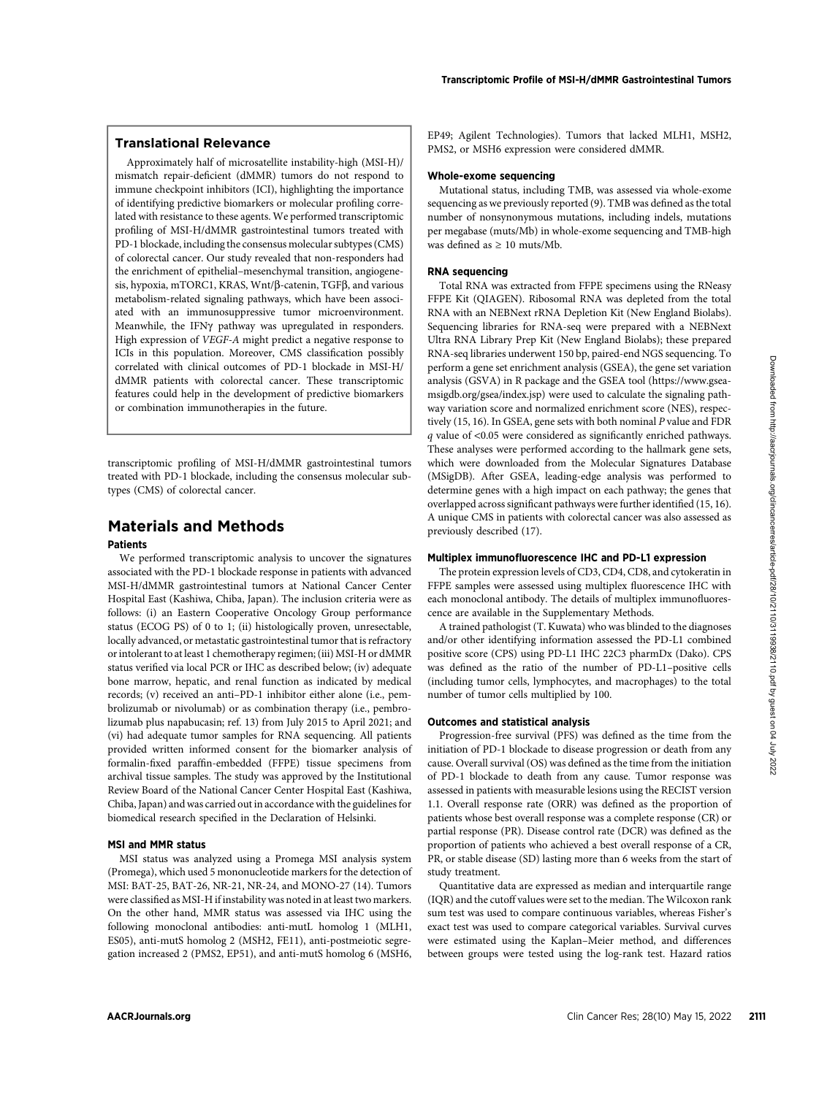# Translational Relevance

Approximately half of microsatellite instability-high (MSI-H)/ mismatch repair-deficient (dMMR) tumors do not respond to immune checkpoint inhibitors (ICI), highlighting the importance of identifying predictive biomarkers or molecular profiling correlated with resistance to these agents. We performed transcriptomic profiling of MSI-H/dMMR gastrointestinal tumors treated with PD-1 blockade, including the consensus molecular subtypes (CMS) of colorectal cancer. Our study revealed that non-responders had the enrichment of epithelial–mesenchymal transition, angiogenesis, hypoxia, mTORC1, KRAS, Wnt/β-catenin, TGFβ, and various metabolism-related signaling pathways, which have been associated with an immunosuppressive tumor microenvironment. Meanwhile, the IFN $\gamma$  pathway was upregulated in responders. High expression of VEGF-A might predict a negative response to ICIs in this population. Moreover, CMS classification possibly correlated with clinical outcomes of PD-1 blockade in MSI-H/ dMMR patients with colorectal cancer. These transcriptomic features could help in the development of predictive biomarkers or combination immunotherapies in the future.

transcriptomic profiling of MSI-H/dMMR gastrointestinal tumors treated with PD-1 blockade, including the consensus molecular subtypes (CMS) of colorectal cancer.

# Materials and Methods

## Patients

We performed transcriptomic analysis to uncover the signatures associated with the PD-1 blockade response in patients with advanced MSI-H/dMMR gastrointestinal tumors at National Cancer Center Hospital East (Kashiwa, Chiba, Japan). The inclusion criteria were as follows: (i) an Eastern Cooperative Oncology Group performance status (ECOG PS) of 0 to 1; (ii) histologically proven, unresectable, locally advanced, or metastatic gastrointestinal tumor that is refractory or intolerant to at least 1 chemotherapy regimen; (iii) MSI-H or dMMR status verified via local PCR or IHC as described below; (iv) adequate bone marrow, hepatic, and renal function as indicated by medical records; (v) received an anti–PD-1 inhibitor either alone (i.e., pembrolizumab or nivolumab) or as combination therapy (i.e., pembrolizumab plus napabucasin; ref. 13) from July 2015 to April 2021; and (vi) had adequate tumor samples for RNA sequencing. All patients provided written informed consent for the biomarker analysis of formalin-fixed paraffin-embedded (FFPE) tissue specimens from archival tissue samples. The study was approved by the Institutional Review Board of the National Cancer Center Hospital East (Kashiwa, Chiba, Japan) and was carried out in accordance with the guidelines for biomedical research specified in the Declaration of Helsinki.

#### MSI and MMR status

MSI status was analyzed using a Promega MSI analysis system (Promega), which used 5 mononucleotide markers for the detection of MSI: BAT-25, BAT-26, NR-21, NR-24, and MONO-27 (14). Tumors were classified as MSI-H if instability was noted in at least two markers. On the other hand, MMR status was assessed via IHC using the following monoclonal antibodies: anti-mutL homolog 1 (MLH1, ES05), anti-mutS homolog 2 (MSH2, FE11), anti-postmeiotic segregation increased 2 (PMS2, EP51), and anti-mutS homolog 6 (MSH6, EP49; Agilent Technologies). Tumors that lacked MLH1, MSH2, PMS2, or MSH6 expression were considered dMMR.

## Whole-exome sequencing

Mutational status, including TMB, was assessed via whole-exome sequencing as we previously reported (9). TMB was defined as the total number of nonsynonymous mutations, including indels, mutations per megabase (muts/Mb) in whole-exome sequencing and TMB-high was defined as  $\geq 10$  muts/Mb.

#### RNA sequencing

Total RNA was extracted from FFPE specimens using the RNeasy FFPE Kit (QIAGEN). Ribosomal RNA was depleted from the total RNA with an NEBNext rRNA Depletion Kit (New England Biolabs). Sequencing libraries for RNA-seq were prepared with a NEBNext Ultra RNA Library Prep Kit (New England Biolabs); these prepared RNA-seq libraries underwent 150 bp, paired-end NGS sequencing. To perform a gene set enrichment analysis (GSEA), the gene set variation analysis (GSVA) in R package and the GSEA tool ([https://www.gsea](https://www.gsea-msigdb.org/gsea/index.jsp)[msigdb.org/gsea/index.jsp\)](https://www.gsea-msigdb.org/gsea/index.jsp) were used to calculate the signaling pathway variation score and normalized enrichment score (NES), respectively (15, 16). In GSEA, gene sets with both nominal P value and FDR <sup>q</sup> value of <0.05 were considered as significantly enriched pathways. These analyses were performed according to the hallmark gene sets, which were downloaded from the Molecular Signatures Database (MSigDB). After GSEA, leading-edge analysis was performed to determine genes with a high impact on each pathway; the genes that overlapped across significant pathways were further identified (15, 16). A unique CMS in patients with colorectal cancer was also assessed as previously described (17).

#### Multiplex immunofluorescence IHC and PD-L1 expression

The protein expression levels of CD3, CD4, CD8, and cytokeratin in FFPE samples were assessed using multiplex fluorescence IHC with each monoclonal antibody. The details of multiplex immunofluorescence are available in the Supplementary Methods.

A trained pathologist (T. Kuwata) who was blinded to the diagnoses and/or other identifying information assessed the PD-L1 combined positive score (CPS) using PD-L1 IHC 22C3 pharmDx (Dako). CPS was defined as the ratio of the number of PD-L1–positive cells (including tumor cells, lymphocytes, and macrophages) to the total number of tumor cells multiplied by 100.

#### Outcomes and statistical analysis

Progression-free survival (PFS) was defined as the time from the initiation of PD-1 blockade to disease progression or death from any cause. Overall survival (OS) was defined as the time from the initiation of PD-1 blockade to death from any cause. Tumor response was assessed in patients with measurable lesions using the RECIST version 1.1. Overall response rate (ORR) was defined as the proportion of patients whose best overall response was a complete response (CR) or partial response (PR). Disease control rate (DCR) was defined as the proportion of patients who achieved a best overall response of a CR, PR, or stable disease (SD) lasting more than 6 weeks from the start of study treatment.

Quantitative data are expressed as median and interquartile range (IQR) and the cutoff values were set to the median. The Wilcoxon rank sum test was used to compare continuous variables, whereas Fisher's exact test was used to compare categorical variables. Survival curves were estimated using the Kaplan–Meier method, and differences between groups were tested using the log-rank test. Hazard ratios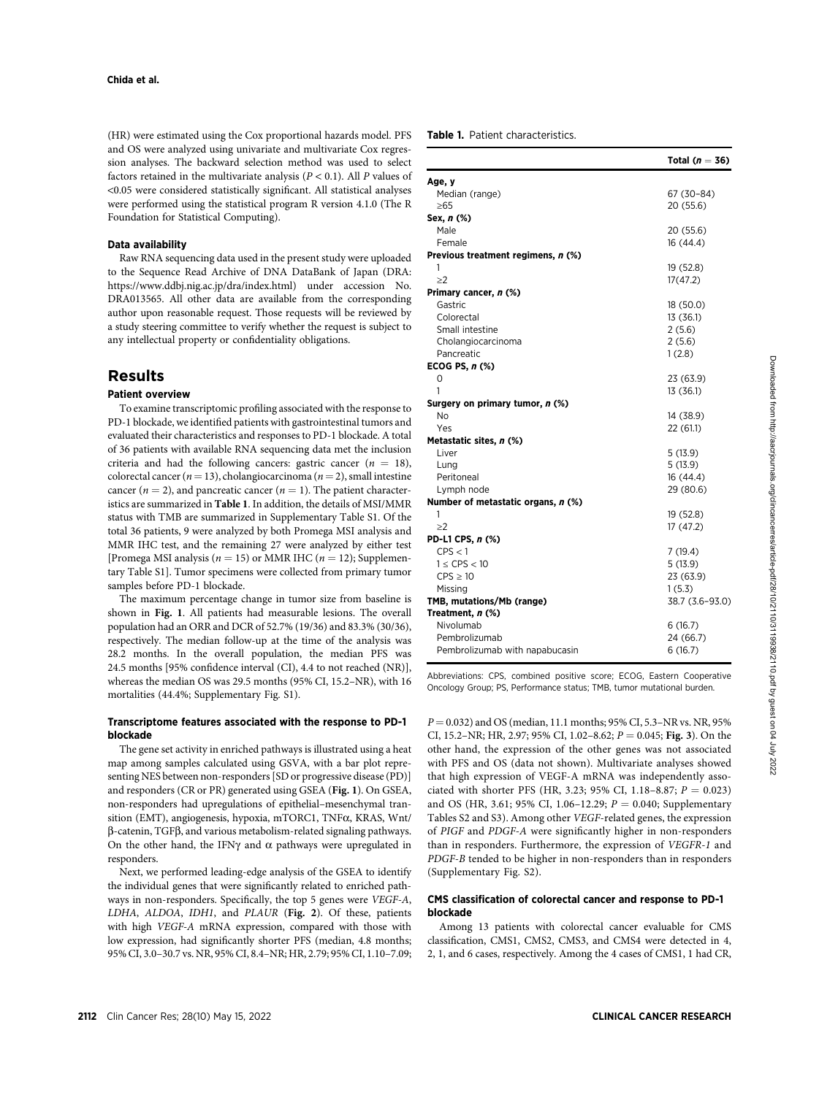(HR) were estimated using the Cox proportional hazards model. PFS and OS were analyzed using univariate and multivariate Cox regression analyses. The backward selection method was used to select factors retained in the multivariate analysis  $(P < 0.1)$ . All P values of <0.05 were considered statistically significant. All statistical analyses were performed using the statistical program R version 4.1.0 (The R Foundation for Statistical Computing).

### Data availability

Raw RNA sequencing data used in the present study were uploaded to the Sequence Read Archive of DNA DataBank of Japan (DRA: <https://www.ddbj.nig.ac.jp/dra/index.html>) under accession No. DRA013565. All other data are available from the corresponding author upon reasonable request. Those requests will be reviewed by a study steering committee to verify whether the request is subject to any intellectual property or confidentiality obligations.

# Results

## Patient overview

To examine transcriptomic profiling associated with the response to PD-1 blockade, we identified patients with gastrointestinal tumors and evaluated their characteristics and responses to PD-1 blockade. A total of 36 patients with available RNA sequencing data met the inclusion criteria and had the following cancers: gastric cancer  $(n = 18)$ , colorectal cancer ( $n = 13$ ), cholangiocarcinoma ( $n = 2$ ), small intestine cancer ( $n = 2$ ), and pancreatic cancer ( $n = 1$ ). The patient characteristics are summarized in Table 1. In addition, the details of MSI/MMR status with TMB are summarized in Supplementary Table S1. Of the total 36 patients, 9 were analyzed by both Promega MSI analysis and MMR IHC test, and the remaining 27 were analyzed by either test [Promega MSI analysis ( $n = 15$ ) or MMR IHC ( $n = 12$ ); Supplementary Table S1]. Tumor specimens were collected from primary tumor samples before PD-1 blockade.

The maximum percentage change in tumor size from baseline is shown in Fig. 1. All patients had measurable lesions. The overall population had an ORR and DCR of 52.7% (19/36) and 83.3% (30/36), respectively. The median follow-up at the time of the analysis was 28.2 months. In the overall population, the median PFS was 24.5 months [95% confidence interval (CI), 4.4 to not reached (NR)], whereas the median OS was 29.5 months (95% CI, 15.2–NR), with 16 mortalities (44.4%; Supplementary Fig. S1).

## Transcriptome features associated with the response to PD-1 blockade

The gene set activity in enriched pathways is illustrated using a heat map among samples calculated using GSVA, with a bar plot representing NES between non-responders [SD or progressive disease (PD)] and responders (CR or PR) generated using GSEA (Fig. 1). On GSEA, non-responders had upregulations of epithelial–mesenchymal transition (EMT), angiogenesis, hypoxia, mTORC1, TNF $\alpha$ , KRAS, Wnt/  $\beta$ -catenin, TGF $\beta$ , and various metabolism-related signaling pathways. On the other hand, the IFN $\gamma$  and  $\alpha$  pathways were upregulated in responders.

Next, we performed leading-edge analysis of the GSEA to identify the individual genes that were significantly related to enriched pathways in non-responders. Specifically, the top 5 genes were VEGF-A, LDHA, ALDOA, IDH1, and PLAUR (Fig. 2). Of these, patients with high VEGF-A mRNA expression, compared with those with low expression, had significantly shorter PFS (median, 4.8 months; 95% CI, 3.0–30.7 vs. NR, 95% CI, 8.4–NR; HR, 2.79; 95% CI, 1.10–7.09; Table 1. Patient characteristics.

|                                    | Total ( $n = 36$ ) |
|------------------------------------|--------------------|
| Age, y                             |                    |
| Median (range)                     | 67 (30-84)         |
| ≥65                                | 20 (55.6)          |
| Sex, n (%)                         |                    |
| Male                               | 20 (55.6)          |
| Female                             | 16 (44.4)          |
| Previous treatment regimens, n (%) |                    |
| 1                                  | 19 (52.8)          |
| $\geq$ 2                           | 17(47.2)           |
| Primary cancer, n (%)              |                    |
| Gastric                            | 18 (50.0)          |
| Colorectal                         | 13 (36.1)          |
| Small intestine                    | 2(5.6)             |
| Cholangiocarcinoma                 | 2(5.6)             |
| Pancreatic                         | 1(2.8)             |
| ECOG PS, $n$ $%$                   |                    |
| 0                                  | 23 (63.9)          |
| 1                                  | 13 (36.1)          |
| Surgery on primary tumor, n (%)    |                    |
| No                                 | 14 (38.9)          |
| Yes                                | 22 (61.1)          |
| Metastatic sites, n (%)            |                    |
| Liver                              | 5(13.9)            |
| Lung                               | 5(13.9)            |
| Peritoneal                         | 16 (44.4)          |
| Lymph node                         | 29 (80.6)          |
| Number of metastatic organs, n (%) |                    |
| 1                                  | 19 (52.8)          |
| $\geq$ 2                           | 17 (47.2)          |
| PD-L1 CPS, n (%)                   |                    |
| CPS < 1                            | 7(19.4)            |
| $1 \leq$ CPS $<$ 10                | 5(13.9)            |
| $CPS \geq 10$                      | 23 (63.9)          |
| Missing                            | 1(5.3)             |
| TMB, mutations/Mb (range)          | 38.7 (3.6-93.0)    |
| Treatment, n (%)                   |                    |
| Nivolumab                          | 6(16.7)            |
| Pembrolizumab                      | 24 (66.7)          |
| Pembrolizumab with napabucasin     | 6(16.7)            |

Abbreviations: CPS, combined positive score; ECOG, Eastern Cooperative Oncology Group; PS, Performance status; TMB, tumor mutational burden.

 $P = 0.032$ ) and OS (median, 11.1 months; 95% CI, 5.3–NR vs. NR, 95% CI, 15.2–NR; HR, 2.97; 95% CI, 1.02–8.62;  $P = 0.045$ ; Fig. 3). On the other hand, the expression of the other genes was not associated with PFS and OS (data not shown). Multivariate analyses showed that high expression of VEGF-A mRNA was independently associated with shorter PFS (HR, 3.23; 95% CI, 1.18–8.87;  $P = 0.023$ ) and OS (HR, 3.61; 95% CI, 1.06–12.29;  $P = 0.040$ ; Supplementary Tables S2 and S3). Among other VEGF-related genes, the expression of PIGF and PDGF-A were significantly higher in non-responders than in responders. Furthermore, the expression of VEGFR-1 and PDGF-B tended to be higher in non-responders than in responders (Supplementary Fig. S2).

## CMS classification of colorectal cancer and response to PD-1 blockade

Among 13 patients with colorectal cancer evaluable for CMS classification, CMS1, CMS2, CMS3, and CMS4 were detected in 4, 2, 1, and 6 cases, respectively. Among the 4 cases of CMS1, 1 had CR,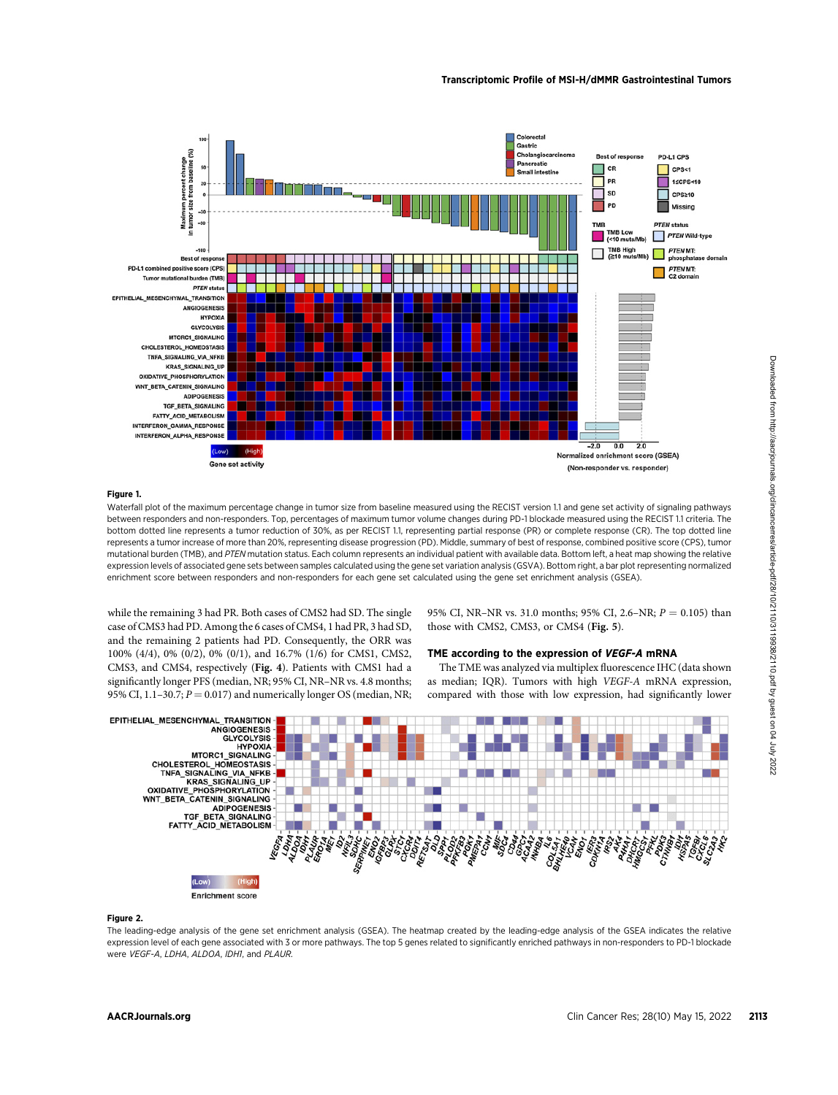

#### Figure 1.

Waterfall plot of the maximum percentage change in tumor size from baseline measured using the RECIST version 1.1 and gene set activity of signaling pathways between responders and non-responders. Top, percentages of maximum tumor volume changes during PD-1 blockade measured using the RECIST 1.1 criteria. The bottom dotted line represents a tumor reduction of 30%, as per RECIST 1.1, representing partial response (PR) or complete response (CR). The top dotted line represents a tumor increase of more than 20%, representing disease progression (PD). Middle, summary of best of response, combined positive score (CPS), tumor mutational burden (TMB), and PTEN mutation status. Each column represents an individual patient with available data. Bottom left, a heat map showing the relative expression levels of associated gene sets between samples calculated using the gene set variation analysis (GSVA). Bottom right, a bar plot representing normalized enrichment score between responders and non-responders for each gene set calculated using the gene set enrichment analysis (GSEA).

while the remaining 3 had PR. Both cases of CMS2 had SD. The single case of CMS3 had PD. Among the 6 cases of CMS4, 1 had PR, 3 had SD, and the remaining 2 patients had PD. Consequently, the ORR was 100% (4/4), 0% (0/2), 0% (0/1), and 16.7% (1/6) for CMS1, CMS2, CMS3, and CMS4, respectively (Fig. 4). Patients with CMS1 had a significantly longer PFS (median, NR; 95% CI, NR–NR vs. 4.8 months; 95% CI, 1.1–30.7;  $P = 0.017$ ) and numerically longer OS (median, NR; 95% CI, NR–NR vs. 31.0 months; 95% CI, 2.6–NR;  $P = 0.105$ ) than those with CMS2, CMS3, or CMS4 (Fig. 5).

#### TME according to the expression of VEGF-A mRNA

The TME was analyzed via multiplex fluorescence IHC (data shown as median; IQR). Tumors with high VEGF-A mRNA expression, compared with those with low expression, had significantly lower



#### Figure 2.

The leading-edge analysis of the gene set enrichment analysis (GSEA). The heatmap created by the leading-edge analysis of the GSEA indicates the relative expression level of each gene associated with 3 or more pathways. The top 5 genes related to significantly enriched pathways in non-responders to PD-1 blockade were VEGF-A, LDHA, ALDOA, IDH1, and PLAUR.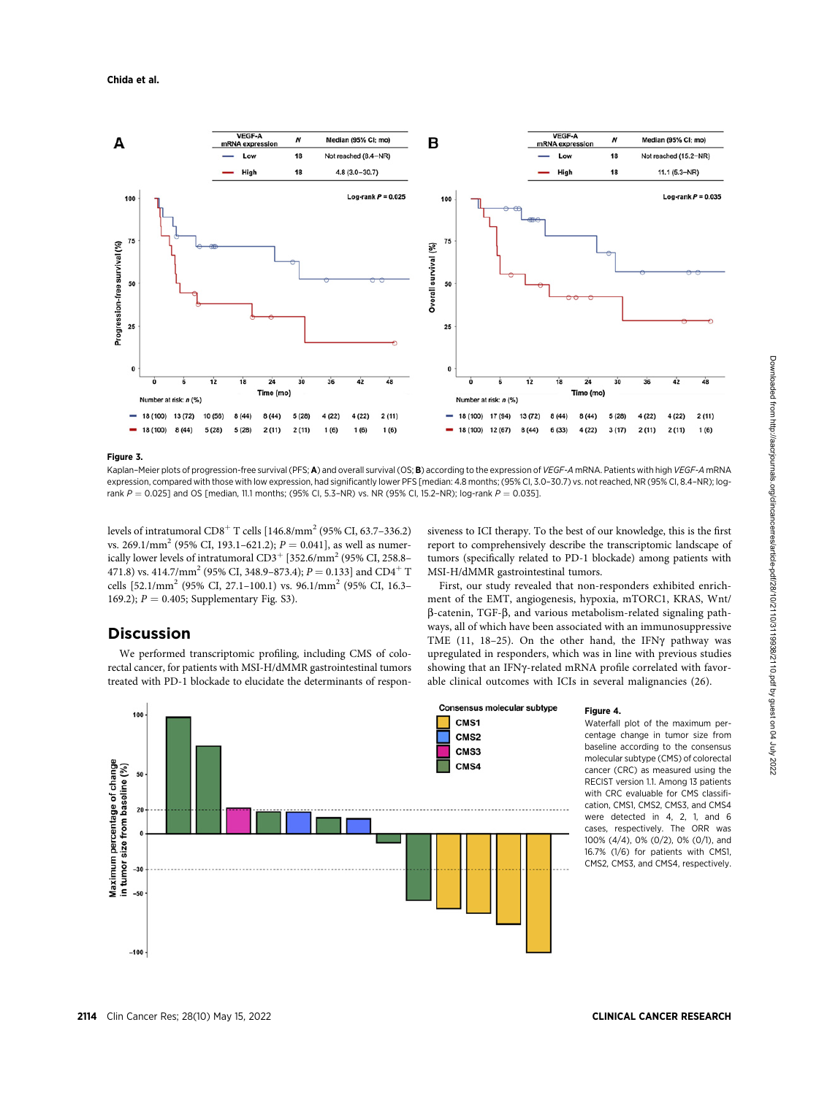

#### Figure 3.

Discussion

Kaplan-Meier plots of progression-free survival (PFS; A) and overall survival (OS; B) according to the expression of VEGF-A mRNA. Patients with high VEGF-A mRNA expression, compared with those with low expression, had significantly lower PFS [median: 4.8 months; (95% CI, 3.0–30.7) vs. not reached, NR (95% CI, 8.4–NR); logrank  $P = 0.025$ ] and OS [median, 11.1 months; (95% CI, 5.3–NR) vs. NR (95% CI, 15.2–NR); log-rank  $P = 0.035$ ].

levels of intratumoral  $CD8<sup>+</sup>$  T cells  $[146.8/mm<sup>2</sup> (95% CI, 63.7–336.2)$ vs. 269.1/mm<sup>2</sup> (95% CI, 193.1–621.2);  $P = 0.041$ ], as well as numerically lower levels of intratumoral  $CD3^+$  [352.6/mm<sup>2</sup> (95% CI, 258.8– 471.8) vs. 414.7/mm<sup>2</sup> (95% CI, 348.9–873.4);  $P = 0.133$ ] and CD4<sup>+</sup> T cells [52.1/mm<sup>2</sup> (95% CI, 27.1–100.1) vs. 96.1/mm<sup>2</sup> (95% CI, 16.3– 169.2);  $P = 0.405$ ; Supplementary Fig. S3).

We performed transcriptomic profiling, including CMS of colorectal cancer, for patients with MSI-H/dMMR gastrointestinal tumors treated with PD-1 blockade to elucidate the determinants of respon-

## siveness to ICI therapy. To the best of our knowledge, this is the first report to comprehensively describe the transcriptomic landscape of tumors (specifically related to PD-1 blockade) among patients with MSI-H/dMMR gastrointestinal tumors.

First, our study revealed that non-responders exhibited enrichment of the EMT, angiogenesis, hypoxia, mTORC1, KRAS, Wnt/  $\beta$ -catenin, TGF- $\beta$ , and various metabolism-related signaling pathways, all of which have been associated with an immunosuppressive TME (11, 18-25). On the other hand, the IFN $\gamma$  pathway was upregulated in responders, which was in line with previous studies showing that an IFNy-related mRNA profile correlated with favorable clinical outcomes with ICIs in several malignancies (26).



Figure 4.

Waterfall plot of the maximum percentage change in tumor size from baseline according to the consensus molecular subtype (CMS) of colorectal cancer (CRC) as measured using the RECIST version 1.1. Among 13 patients with CRC evaluable for CMS classification, CMS1, CMS2, CMS3, and CMS4 were detected in 4, 2, 1, and 6 cases, respectively. The ORR was 100% (4/4), 0% (0/2), 0% (0/1), and 16.7% (1/6) for patients with CMS1, CMS2, CMS3, and CMS4, respectively.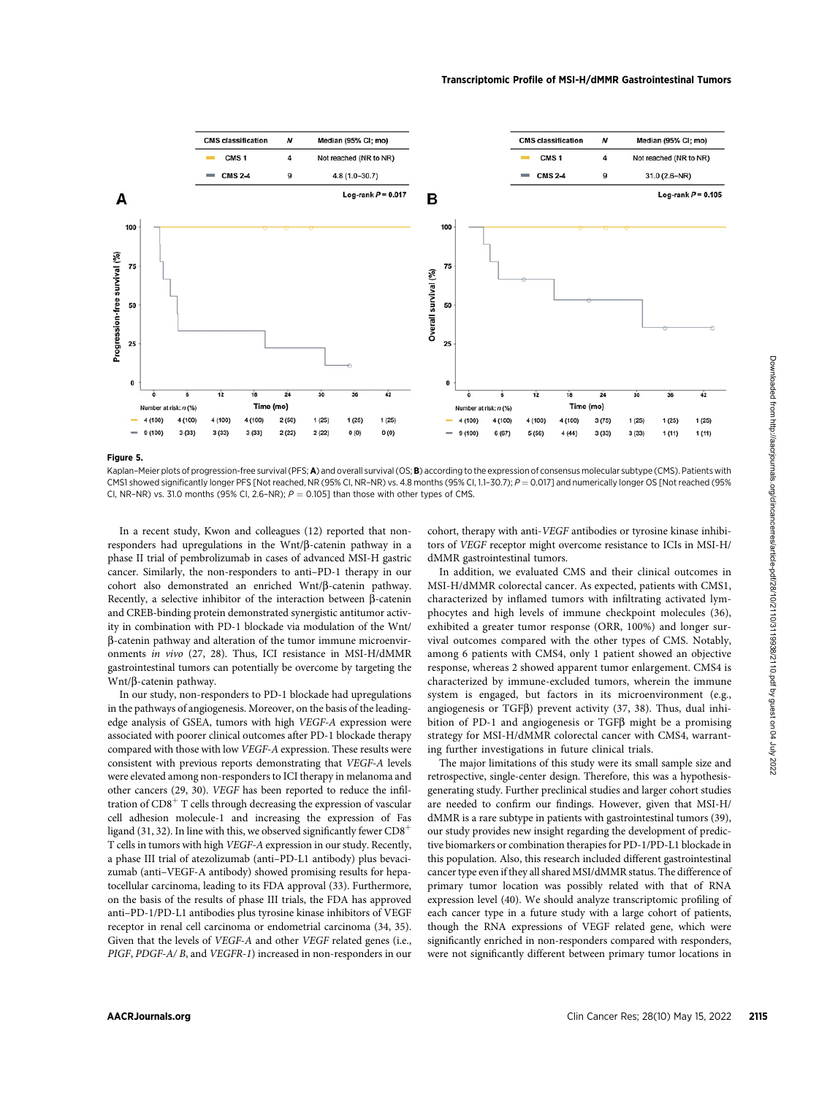

Kaplan-Meier plots of progression-free survival (PFS; A) and overall survival (OS; B) according to the expression of consensus molecular subtype (CMS). Patients with CMS1 showed significantly longer PFS [Not reached, NR (95% CI, NR-NR) vs. 4.8 months (95% CI, 1.1-30.7);  $P = 0.017$ ] and numerically longer OS [Not reached (95% CI, NR-NR) vs. 31.0 months (95% CI, 2.6-NR);  $P = 0.105$ ] than those with other types of CMS.

In a recent study, Kwon and colleagues (12) reported that nonresponders had upregulations in the  $Wnt/\beta$ -catenin pathway in a phase II trial of pembrolizumab in cases of advanced MSI-H gastric cancer. Similarly, the non-responders to anti–PD-1 therapy in our cohort also demonstrated an enriched  $Wnt/\beta$ -catenin pathway. Recently, a selective inhibitor of the interaction between  $\beta$ -catenin and CREB-binding protein demonstrated synergistic antitumor activity in combination with PD-1 blockade via modulation of the Wnt/ b-catenin pathway and alteration of the tumor immune microenvironments in vivo (27, 28). Thus, ICI resistance in MSI-H/dMMR gastrointestinal tumors can potentially be overcome by targeting the Wnt/ $\beta$ -catenin pathway.

In our study, non-responders to PD-1 blockade had upregulations in the pathways of angiogenesis. Moreover, on the basis of the leadingedge analysis of GSEA, tumors with high VEGF-A expression were associated with poorer clinical outcomes after PD-1 blockade therapy compared with those with low VEGF-A expression. These results were consistent with previous reports demonstrating that VEGF-A levels were elevated among non-responders to ICI therapy in melanoma and other cancers (29, 30). VEGF has been reported to reduce the infiltration of  $CD8<sup>+</sup>$  T cells through decreasing the expression of vascular cell adhesion molecule-1 and increasing the expression of Fas ligand (31, 32). In line with this, we observed significantly fewer  $CD8^+$ T cells in tumors with high VEGF-A expression in our study. Recently, a phase III trial of atezolizumab (anti–PD-L1 antibody) plus bevacizumab (anti–VEGF-A antibody) showed promising results for hepatocellular carcinoma, leading to its FDA approval (33). Furthermore, on the basis of the results of phase III trials, the FDA has approved anti–PD-1/PD-L1 antibodies plus tyrosine kinase inhibitors of VEGF receptor in renal cell carcinoma or endometrial carcinoma (34, 35). Given that the levels of VEGF-A and other VEGF related genes (i.e., PIGF, PDGF-A/ B, and VEGFR-1) increased in non-responders in our

cohort, therapy with anti-VEGF antibodies or tyrosine kinase inhibitors of VEGF receptor might overcome resistance to ICIs in MSI-H/ dMMR gastrointestinal tumors.

In addition, we evaluated CMS and their clinical outcomes in MSI-H/dMMR colorectal cancer. As expected, patients with CMS1, characterized by inflamed tumors with infiltrating activated lymphocytes and high levels of immune checkpoint molecules (36), exhibited a greater tumor response (ORR, 100%) and longer survival outcomes compared with the other types of CMS. Notably, among 6 patients with CMS4, only 1 patient showed an objective response, whereas 2 showed apparent tumor enlargement. CMS4 is characterized by immune-excluded tumors, wherein the immune system is engaged, but factors in its microenvironment (e.g., angiogenesis or  $TGF\beta$ ) prevent activity (37, 38). Thus, dual inhibition of PD-1 and angiogenesis or  $TGF\beta$  might be a promising strategy for MSI-H/dMMR colorectal cancer with CMS4, warranting further investigations in future clinical trials.

The major limitations of this study were its small sample size and retrospective, single-center design. Therefore, this was a hypothesisgenerating study. Further preclinical studies and larger cohort studies are needed to confirm our findings. However, given that MSI-H/ dMMR is a rare subtype in patients with gastrointestinal tumors (39), our study provides new insight regarding the development of predictive biomarkers or combination therapies for PD-1/PD-L1 blockade in this population. Also, this research included different gastrointestinal cancer type even if they all shared MSI/dMMR status. The difference of primary tumor location was possibly related with that of RNA expression level (40). We should analyze transcriptomic profiling of each cancer type in a future study with a large cohort of patients, though the RNA expressions of VEGF related gene, which were significantly enriched in non-responders compared with responders, were not significantly different between primary tumor locations in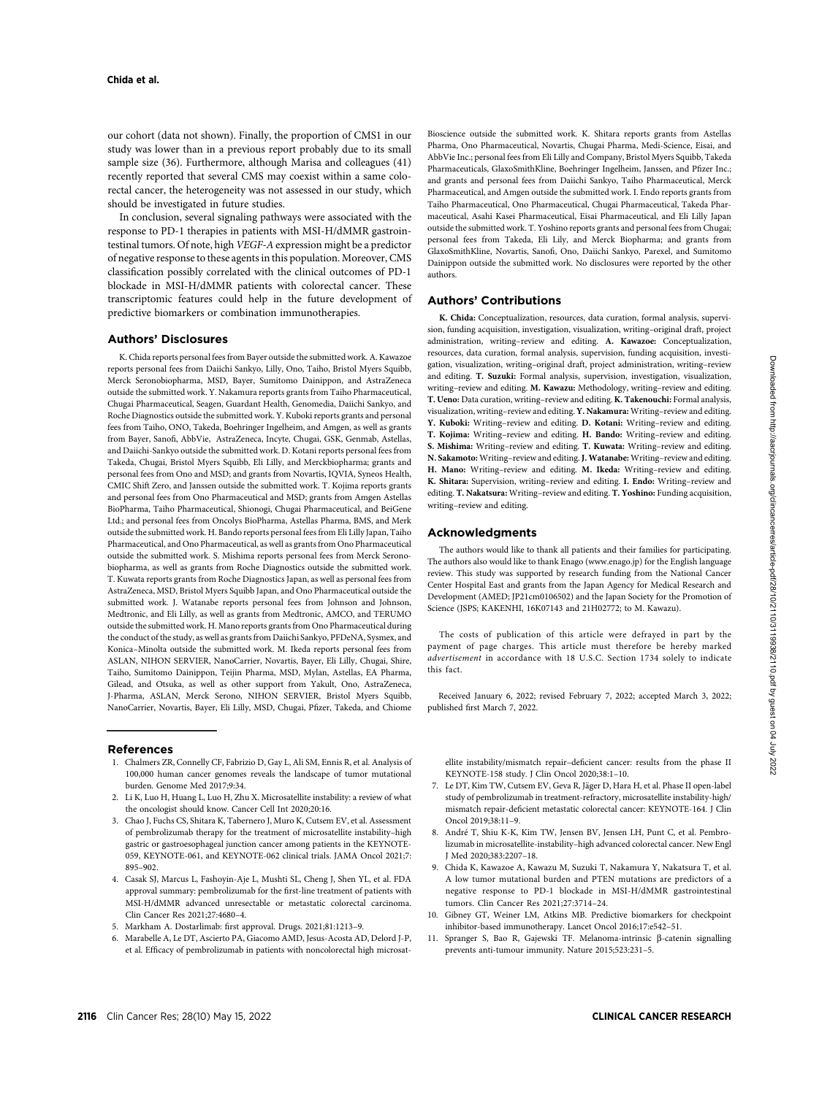our cohort (data not shown). Finally, the proportion of CMS1 in our study was lower than in a previous report probably due to its small sample size (36). Furthermore, although Marisa and colleagues (41) recently reported that several CMS may coexist within a same colorectal cancer, the heterogeneity was not assessed in our study, which should be investigated in future studies.

In conclusion, several signaling pathways were associated with the response to PD-1 therapies in patients with MSI-H/dMMR gastrointestinal tumors. Of note, high VEGF-A expression might be a predictor of negative response to these agents in this population. Moreover, CMS classification possibly correlated with the clinical outcomes of PD-1 blockade in MSI-H/dMMR patients with colorectal cancer. These transcriptomic features could help in the future development of predictive biomarkers or combination immunotherapies.

## Authors' Disclosures

K. Chida reports personal fees from Bayer outside the submitted work. A. Kawazoe reports personal fees from Daiichi Sankyo, Lilly, Ono, Taiho, Bristol Myers Squibb, Merck Seronobiopharma, MSD, Bayer, Sumitomo Dainippon, and AstraZeneca outside the submitted work. Y. Nakamura reports grants from Taiho Pharmaceutical, Chugai Pharmaceutical, Seagen, Guardant Health, Genomedia, Daiichi Sankyo, and Roche Diagnostics outside the submitted work. Y. Kuboki reports grants and personal fees from Taiho, ONO, Takeda, Boehringer Ingelheim, and Amgen, as well as grants from Bayer, Sanofi, AbbVie, AstraZeneca, Incyte, Chugai, GSK, Genmab, Astellas, and Daiichi-Sankyo outside the submitted work. D. Kotani reports personal fees from Takeda, Chugai, Bristol Myers Squibb, Eli Lilly, and Merckbiopharma; grants and personal fees from Ono and MSD; and grants from Novartis, IQVIA, Syneos Health, CMIC Shift Zero, and Janssen outside the submitted work. T. Kojima reports grants and personal fees from Ono Pharmaceutical and MSD; grants from Amgen Astellas BioPharma, Taiho Pharmaceutical, Shionogi, Chugai Pharmaceutical, and BeiGene Ltd.; and personal fees from Oncolys BioPharma, Astellas Pharma, BMS, and Merk outside the submitted work. H. Bando reports personal fees from Eli Lilly Japan, Taiho Pharmaceutical, and Ono Pharmaceutical, as well as grants from Ono Pharmaceutical outside the submitted work. S. Mishima reports personal fees from Merck Seronobiopharma, as well as grants from Roche Diagnostics outside the submitted work. T. Kuwata reports grants from Roche Diagnostics Japan, as well as personal fees from AstraZeneca, MSD, Bristol Myers Squibb Japan, and Ono Pharmaceutical outside the submitted work. J. Watanabe reports personal fees from Johnson and Johnson, Medtronic, and Eli Lilly, as well as grants from Medtronic, AMCO, and TERUMO outside the submitted work. H. Mano reports grants from Ono Pharmaceutical during the conduct of the study, as well as grants from Daiichi Sankyo, PFDeNA, Sysmex, and Konica–Minolta outside the submitted work. M. Ikeda reports personal fees from ASLAN, NIHON SERVIER, NanoCarrier, Novartis, Bayer, Eli Lilly, Chugai, Shire, Taiho, Sumitomo Dainippon, Teijin Pharma, MSD, Mylan, Astellas, EA Pharma, Gilead, and Otsuka, as well as other support from Yakult, Ono, AstraZeneca, J-Pharma, ASLAN, Merck Serono, NIHON SERVIER, Bristol Myers Squibb, NanoCarrier, Novartis, Bayer, Eli Lilly, MSD, Chugai, Pfizer, Takeda, and Chiome

#### References

- 1. Chalmers ZR, Connelly CF, Fabrizio D, Gay L, Ali SM, Ennis R, et al. Analysis of 100,000 human cancer genomes reveals the landscape of tumor mutational burden. Genome Med 2017;9:34.
- 2. Li K, Luo H, Huang L, Luo H, Zhu X. Microsatellite instability: a review of what the oncologist should know. Cancer Cell Int 2020;20:16.
- 3. Chao J, Fuchs CS, Shitara K, Tabernero J, Muro K, Cutsem EV, et al. Assessment of pembrolizumab therapy for the treatment of microsatellite instability–high gastric or gastroesophageal junction cancer among patients in the KEYNOTE-059, KEYNOTE-061, and KEYNOTE-062 clinical trials. JAMA Oncol 2021;7: 895–902.
- 4. Casak SJ, Marcus L, Fashoyin-Aje L, Mushti SL, Cheng J, Shen YL, et al. FDA approval summary: pembrolizumab for the first-line treatment of patients with MSI-H/dMMR advanced unresectable or metastatic colorectal carcinoma. Clin Cancer Res 2021;27:4680–4.
- 5. Markham A. Dostarlimab: first approval. Drugs. 2021;81:1213–9.
- 6. Marabelle A, Le DT, Ascierto PA, Giacomo AMD, Jesus-Acosta AD, Delord J-P, et al. Efficacy of pembrolizumab in patients with noncolorectal high microsat-

Bioscience outside the submitted work. K. Shitara reports grants from Astellas Pharma, Ono Pharmaceutical, Novartis, Chugai Pharma, Medi-Science, Eisai, and AbbVie Inc.; personal fees from Eli Lilly and Company, Bristol Myers Squibb, Takeda Pharmaceuticals, GlaxoSmithKline, Boehringer Ingelheim, Janssen, and Pfizer Inc.; and grants and personal fees from Daiichi Sankyo, Taiho Pharmaceutical, Merck Pharmaceutical, and Amgen outside the submitted work. I. Endo reports grants from Taiho Pharmaceutical, Ono Pharmaceutical, Chugai Pharmaceutical, Takeda Pharmaceutical, Asahi Kasei Pharmaceutical, Eisai Pharmaceutical, and Eli Lilly Japan outside the submitted work. T. Yoshino reports grants and personal fees from Chugai; personal fees from Takeda, Eli Lily, and Merck Biopharma; and grants from GlaxoSmithKline, Novartis, Sanofi, Ono, Daiichi Sankyo, Parexel, and Sumitomo Dainippon outside the submitted work. No disclosures were reported by the other authors.

#### Authors' Contributions

K. Chida: Conceptualization, resources, data curation, formal analysis, supervision, funding acquisition, investigation, visualization, writing–original draft, project administration, writing–review and editing. A. Kawazoe: Conceptualization, resources, data curation, formal analysis, supervision, funding acquisition, investigation, visualization, writing–original draft, project administration, writing–review and editing. T. Suzuki: Formal analysis, supervision, investigation, visualization, writing–review and editing. M. Kawazu: Methodology, writing–review and editing. T. Ueno: Data curation, writing–review and editing. K. Takenouchi: Formal analysis, visualization, writing–review and editing. Y. Nakamura: Writing–review and editing. Y. Kuboki: Writing–review and editing. D. Kotani: Writing–review and editing. T. Kojima: Writing–review and editing. H. Bando: Writing–review and editing. S. Mishima: Writing–review and editing. T. Kuwata: Writing–review and editing. N. Sakamoto:Writing–review and editing.J. Watanabe: Writing–review and editing. H. Mano: Writing–review and editing. M. Ikeda: Writing–review and editing. K. Shitara: Supervision, writing–review and editing. I. Endo: Writing–review and editing. T. Nakatsura: Writing–review and editing. T. Yoshino: Funding acquisition, writing–review and editing.

#### Acknowledgments

The authors would like to thank all patients and their families for participating. The authors also would like to thank Enago ([www.enago.jp\)](http://www.enago.jp) for the English language review. This study was supported by research funding from the National Cancer Center Hospital East and grants from the Japan Agency for Medical Research and Development (AMED; JP21cm0106502) and the Japan Society for the Promotion of Science (JSPS; KAKENHI, 16K07143 and 21H02772; to M. Kawazu).

The costs of publication of this article were defrayed in part by the payment of page charges. This article must therefore be hereby marked advertisement in accordance with 18 U.S.C. Section 1734 solely to indicate this fact.

Received January 6, 2022; revised February 7, 2022; accepted March 3, 2022; published first March 7, 2022.

ellite instability/mismatch repair–deficient cancer: results from the phase II KEYNOTE-158 study. J Clin Oncol 2020;38:1–10.

- 7. Le DT, Kim TW, Cutsem EV, Geva R, Jäger D, Hara H, et al. Phase II open-label study of pembrolizumab in treatment-refractory, microsatellite instability-high/ mismatch repair-deficient metastatic colorectal cancer: KEYNOTE-164. J Clin Oncol 2019;38:11–9.
- 8. André T, Shiu K-K, Kim TW, Jensen BV, Jensen LH, Punt C, et al. Pembrolizumab in microsatellite-instability–high advanced colorectal cancer. New Engl J Med 2020;383:2207–18.
- 9. Chida K, Kawazoe A, Kawazu M, Suzuki T, Nakamura Y, Nakatsura T, et al. A low tumor mutational burden and PTEN mutations are predictors of a negative response to PD-1 blockade in MSI-H/dMMR gastrointestinal tumors. Clin Cancer Res 2021;27:3714–24.
- 10. Gibney GT, Weiner LM, Atkins MB. Predictive biomarkers for checkpoint inhibitor-based immunotherapy. Lancet Oncol 2016;17:e542–51.
- 11. Spranger S, Bao R, Gajewski TF. Melanoma-intrinsic β-catenin signalling prevents anti-tumour immunity. Nature 2015;523:231–5.